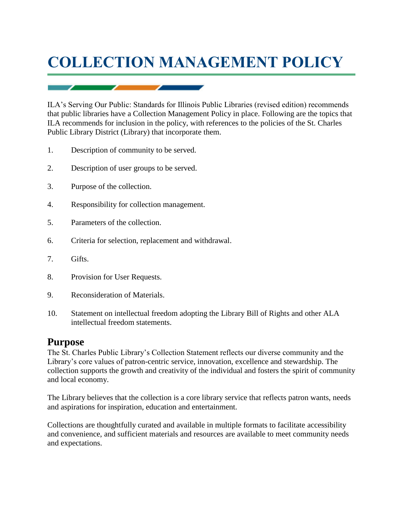# **COLLECTION MANAGEMENT POLICY**

ILA's Serving Our Public: Standards for Illinois Public Libraries (revised edition) recommends that public libraries have a Collection Management Policy in place. Following are the topics that ILA recommends for inclusion in the policy, with references to the policies of the St. Charles Public Library District (Library) that incorporate them.

- 1. Description of community to be served.
- 2. Description of user groups to be served.
- 3. Purpose of the collection.
- 4. Responsibility for collection management.
- 5. Parameters of the collection.
- 6. Criteria for selection, replacement and withdrawal.
- 7. Gifts.
- 8. Provision for User Requests.
- 9. Reconsideration of Materials.
- 10. Statement on intellectual freedom adopting the Library Bill of Rights and other ALA intellectual freedom statements.

## **Purpose**

The St. Charles Public Library's Collection Statement reflects our diverse community and the Library's core values of patron-centric service, innovation, excellence and stewardship. The collection supports the growth and creativity of the individual and fosters the spirit of community and local economy.

The Library believes that the collection is a core library service that reflects patron wants, needs and aspirations for inspiration, education and entertainment.

Collections are thoughtfully curated and available in multiple formats to facilitate accessibility and convenience, and sufficient materials and resources are available to meet community needs and expectations.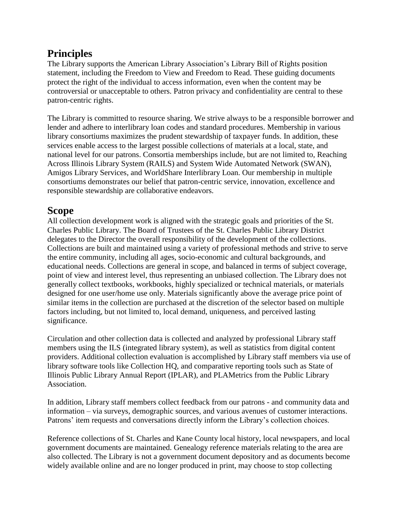## **Principles**

The Library supports the American Library Association's Library Bill of Rights position statement, including the Freedom to View and Freedom to Read. These guiding documents protect the right of the individual to access information, even when the content may be controversial or unacceptable to others. Patron privacy and confidentiality are central to these patron-centric rights.

The Library is committed to resource sharing. We strive always to be a responsible borrower and lender and adhere to interlibrary loan codes and standard procedures. Membership in various library consortiums maximizes the prudent stewardship of taxpayer funds. In addition, these services enable access to the largest possible collections of materials at a local, state, and national level for our patrons. Consortia memberships include, but are not limited to, Reaching Across Illinois Library System (RAILS) and System Wide Automated Network (SWAN), Amigos Library Services, and WorldShare Interlibrary Loan. Our membership in multiple consortiums demonstrates our belief that patron-centric service, innovation, excellence and responsible stewardship are collaborative endeavors.

## **Scope**

All collection development work is aligned with the strategic goals and priorities of the St. Charles Public Library. The Board of Trustees of the St. Charles Public Library District delegates to the Director the overall responsibility of the development of the collections. Collections are built and maintained using a variety of professional methods and strive to serve the entire community, including all ages, socio-economic and cultural backgrounds, and educational needs. Collections are general in scope, and balanced in terms of subject coverage, point of view and interest level, thus representing an unbiased collection. The Library does not generally collect textbooks, workbooks, highly specialized or technical materials, or materials designed for one user/home use only. Materials significantly above the average price point of similar items in the collection are purchased at the discretion of the selector based on multiple factors including, but not limited to, local demand, uniqueness, and perceived lasting significance.

Circulation and other collection data is collected and analyzed by professional Library staff members using the ILS (integrated library system), as well as statistics from digital content providers. Additional collection evaluation is accomplished by Library staff members via use of library software tools like Collection HQ, and comparative reporting tools such as State of Illinois Public Library Annual Report (IPLAR), and PLAMetrics from the Public Library Association.

In addition, Library staff members collect feedback from our patrons - and community data and information – via surveys, demographic sources, and various avenues of customer interactions. Patrons' item requests and conversations directly inform the Library's collection choices.

Reference collections of St. Charles and Kane County local history, local newspapers, and local government documents are maintained. Genealogy reference materials relating to the area are also collected. The Library is not a government document depository and as documents become widely available online and are no longer produced in print, may choose to stop collecting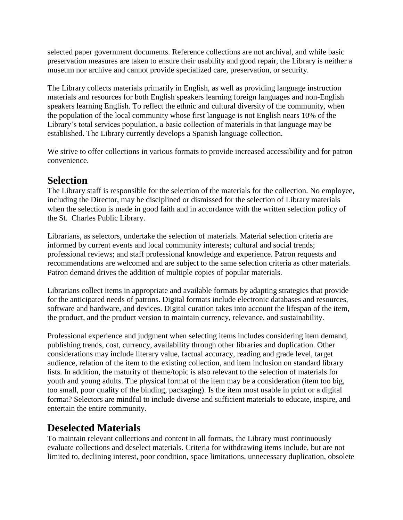selected paper government documents. Reference collections are not archival, and while basic preservation measures are taken to ensure their usability and good repair, the Library is neither a museum nor archive and cannot provide specialized care, preservation, or security.

The Library collects materials primarily in English, as well as providing language instruction materials and resources for both English speakers learning foreign languages and non-English speakers learning English. To reflect the ethnic and cultural diversity of the community, when the population of the local community whose first language is not English nears 10% of the Library's total services population, a basic collection of materials in that language may be established. The Library currently develops a Spanish language collection.

We strive to offer collections in various formats to provide increased accessibility and for patron convenience.

## **Selection**

The Library staff is responsible for the selection of the materials for the collection. No employee, including the Director, may be disciplined or dismissed for the selection of Library materials when the selection is made in good faith and in accordance with the written selection policy of the St. Charles Public Library.

Librarians, as selectors, undertake the selection of materials. Material selection criteria are informed by current events and local community interests; cultural and social trends; professional reviews; and staff professional knowledge and experience. Patron requests and recommendations are welcomed and are subject to the same selection criteria as other materials. Patron demand drives the addition of multiple copies of popular materials.

Librarians collect items in appropriate and available formats by adapting strategies that provide for the anticipated needs of patrons. Digital formats include electronic databases and resources, software and hardware, and devices. Digital curation takes into account the lifespan of the item, the product, and the product version to maintain currency, relevance, and sustainability.

Professional experience and judgment when selecting items includes considering item demand, publishing trends, cost, currency, availability through other libraries and duplication. Other considerations may include literary value, factual accuracy, reading and grade level, target audience, relation of the item to the existing collection, and item inclusion on standard library lists. In addition, the maturity of theme/topic is also relevant to the selection of materials for youth and young adults. The physical format of the item may be a consideration (item too big, too small, poor quality of the binding, packaging). Is the item most usable in print or a digital format? Selectors are mindful to include diverse and sufficient materials to educate, inspire, and entertain the entire community.

## **Deselected Materials**

To maintain relevant collections and content in all formats, the Library must continuously evaluate collections and deselect materials. Criteria for withdrawing items include, but are not limited to, declining interest, poor condition, space limitations, unnecessary duplication, obsolete